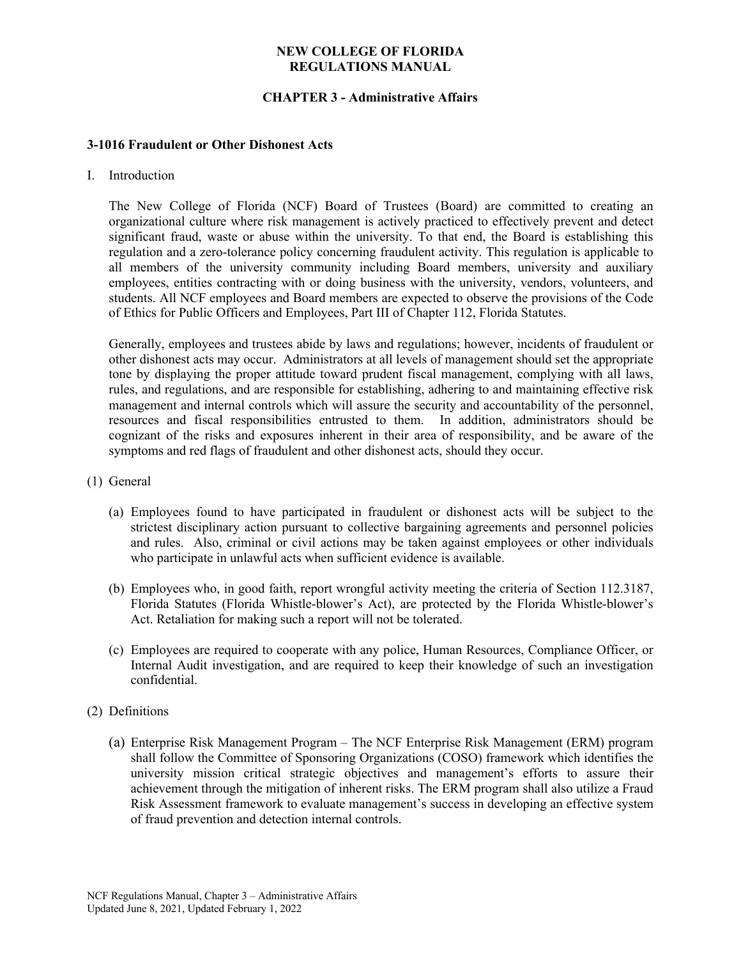## **CHAPTER 3 - Administrative Affairs**

#### **3-1016 Fraudulent or Other Dishonest Acts**

I. Introduction

The New College of Florida (NCF) Board of Trustees (Board) are committed to creating an organizational culture where risk management is actively practiced to effectively prevent and detect significant fraud, waste or abuse within the university. To that end, the Board is establishing this regulation and a zero-tolerance policy concerning fraudulent activity. This regulation is applicable to all members of the university community including Board members, university and auxiliary employees, entities contracting with or doing business with the university, vendors, volunteers, and students. All NCF employees and Board members are expected to observe the provisions of the Code of Ethics for Public Officers and Employees, Part III of Chapter 112, Florida Statutes.

Generally, employees and trustees abide by laws and regulations; however, incidents of fraudulent or other dishonest acts may occur. Administrators at all levels of management should set the appropriate tone by displaying the proper attitude toward prudent fiscal management, complying with all laws, rules, and regulations, and are responsible for establishing, adhering to and maintaining effective risk management and internal controls which will assure the security and accountability of the personnel, resources and fiscal responsibilities entrusted to them. In addition, administrators should be cognizant of the risks and exposures inherent in their area of responsibility, and be aware of the symptoms and red flags of fraudulent and other dishonest acts, should they occur.

- (1) General
	- (a) Employees found to have participated in fraudulent or dishonest acts will be subject to the strictest disciplinary action pursuant to collective bargaining agreements and personnel policies and rules. Also, criminal or civil actions may be taken against employees or other individuals who participate in unlawful acts when sufficient evidence is available.
	- (b) Employees who, in good faith, report wrongful activity meeting the criteria of Section 112.3187, Florida Statutes (Florida Whistle-blower's Act), are protected by the Florida Whistle-blower's Act. Retaliation for making such a report will not be tolerated.
	- (c) Employees are required to cooperate with any police, Human Resources, Compliance Officer, or Internal Audit investigation, and are required to keep their knowledge of such an investigation confidential.
- (2) Definitions
	- (a) Enterprise Risk Management Program The NCF Enterprise Risk Management (ERM) program shall follow the Committee of Sponsoring Organizations (COSO) framework which identifies the university mission critical strategic objectives and management's efforts to assure their achievement through the mitigation of inherent risks. The ERM program shall also utilize a Fraud Risk Assessment framework to evaluate management's success in developing an effective system of fraud prevention and detection internal controls.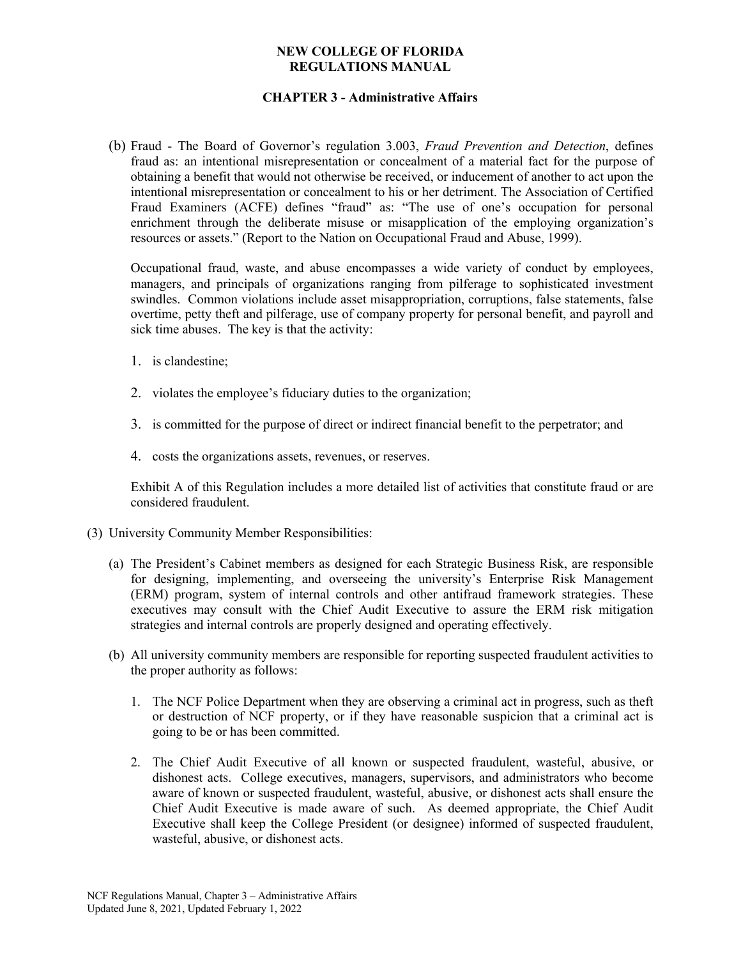## **CHAPTER 3 - Administrative Affairs**

(b) Fraud - The Board of Governor's regulation 3.003, *Fraud Prevention and Detection*, defines fraud as: an intentional misrepresentation or concealment of a material fact for the purpose of obtaining a benefit that would not otherwise be received, or inducement of another to act upon the intentional misrepresentation or concealment to his or her detriment. The Association of Certified Fraud Examiners (ACFE) defines "fraud" as: "The use of one's occupation for personal enrichment through the deliberate misuse or misapplication of the employing organization's resources or assets." (Report to the Nation on Occupational Fraud and Abuse, 1999).

Occupational fraud, waste, and abuse encompasses a wide variety of conduct by employees, managers, and principals of organizations ranging from pilferage to sophisticated investment swindles. Common violations include asset misappropriation, corruptions, false statements, false overtime, petty theft and pilferage, use of company property for personal benefit, and payroll and sick time abuses. The key is that the activity:

- 1. is clandestine;
- 2. violates the employee's fiduciary duties to the organization;
- 3. is committed for the purpose of direct or indirect financial benefit to the perpetrator; and
- 4. costs the organizations assets, revenues, or reserves.

Exhibit A of this Regulation includes a more detailed list of activities that constitute fraud or are considered fraudulent.

- (3) University Community Member Responsibilities:
	- (a) The President's Cabinet members as designed for each Strategic Business Risk, are responsible for designing, implementing, and overseeing the university's Enterprise Risk Management (ERM) program, system of internal controls and other antifraud framework strategies. These executives may consult with the Chief Audit Executive to assure the ERM risk mitigation strategies and internal controls are properly designed and operating effectively.
	- (b) All university community members are responsible for reporting suspected fraudulent activities to the proper authority as follows:
		- 1. The NCF Police Department when they are observing a criminal act in progress, such as theft or destruction of NCF property, or if they have reasonable suspicion that a criminal act is going to be or has been committed.
		- 2. The Chief Audit Executive of all known or suspected fraudulent, wasteful, abusive, or dishonest acts. College executives, managers, supervisors, and administrators who become aware of known or suspected fraudulent, wasteful, abusive, or dishonest acts shall ensure the Chief Audit Executive is made aware of such. As deemed appropriate, the Chief Audit Executive shall keep the College President (or designee) informed of suspected fraudulent, wasteful, abusive, or dishonest acts.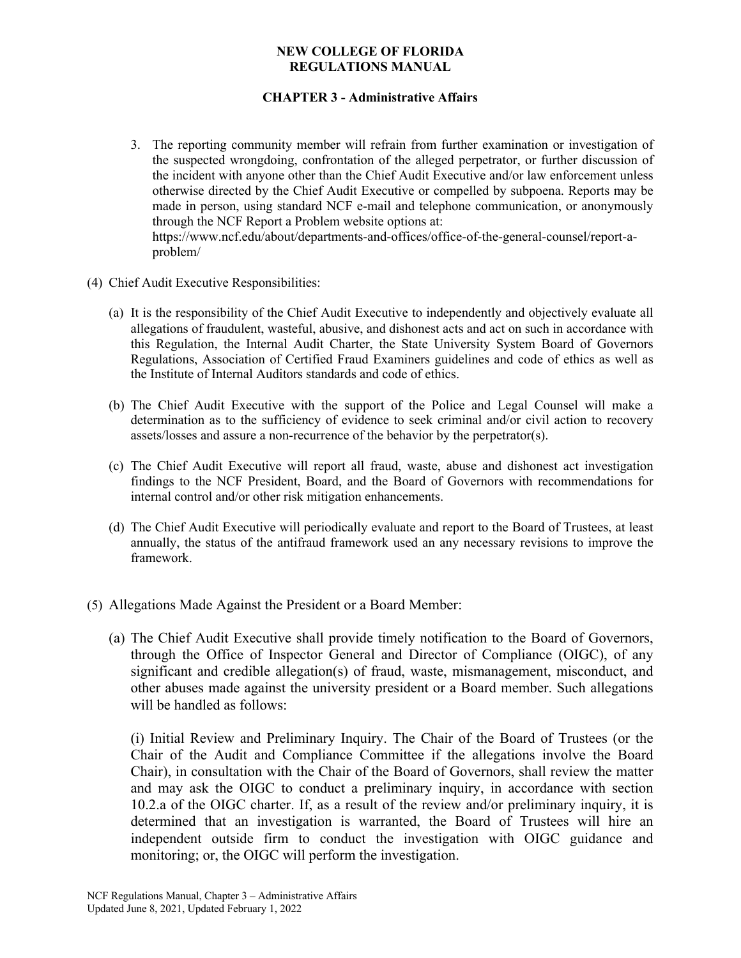# **CHAPTER 3 - Administrative Affairs**

- 3. The reporting community member will refrain from further examination or investigation of the suspected wrongdoing, confrontation of the alleged perpetrator, or further discussion of the incident with anyone other than the Chief Audit Executive and/or law enforcement unless otherwise directed by the Chief Audit Executive or compelled by subpoena. Reports may be made in person, using standard NCF e-mail and telephone communication, or anonymously through the NCF Report a Problem website options at: https://www.ncf.edu/about/departments-and-offices/office-of-the-general-counsel/report-aproblem/
- (4) Chief Audit Executive Responsibilities:
	- (a) It is the responsibility of the Chief Audit Executive to independently and objectively evaluate all allegations of fraudulent, wasteful, abusive, and dishonest acts and act on such in accordance with this Regulation, the Internal Audit Charter, the State University System Board of Governors Regulations, Association of Certified Fraud Examiners guidelines and code of ethics as well as the Institute of Internal Auditors standards and code of ethics.
	- (b) The Chief Audit Executive with the support of the Police and Legal Counsel will make a determination as to the sufficiency of evidence to seek criminal and/or civil action to recovery assets/losses and assure a non-recurrence of the behavior by the perpetrator(s).
	- (c) The Chief Audit Executive will report all fraud, waste, abuse and dishonest act investigation findings to the NCF President, Board, and the Board of Governors with recommendations for internal control and/or other risk mitigation enhancements.
	- (d) The Chief Audit Executive will periodically evaluate and report to the Board of Trustees, at least annually, the status of the antifraud framework used an any necessary revisions to improve the framework.
- (5) Allegations Made Against the President or a Board Member:
	- (a) The Chief Audit Executive shall provide timely notification to the Board of Governors, through the Office of Inspector General and Director of Compliance (OIGC), of any significant and credible allegation(s) of fraud, waste, mismanagement, misconduct, and other abuses made against the university president or a Board member. Such allegations will be handled as follows:

(i) Initial Review and Preliminary Inquiry. The Chair of the Board of Trustees (or the Chair of the Audit and Compliance Committee if the allegations involve the Board Chair), in consultation with the Chair of the Board of Governors, shall review the matter and may ask the OIGC to conduct a preliminary inquiry, in accordance with section 10.2.a of the OIGC charter. If, as a result of the review and/or preliminary inquiry, it is determined that an investigation is warranted, the Board of Trustees will hire an independent outside firm to conduct the investigation with OIGC guidance and monitoring; or, the OIGC will perform the investigation.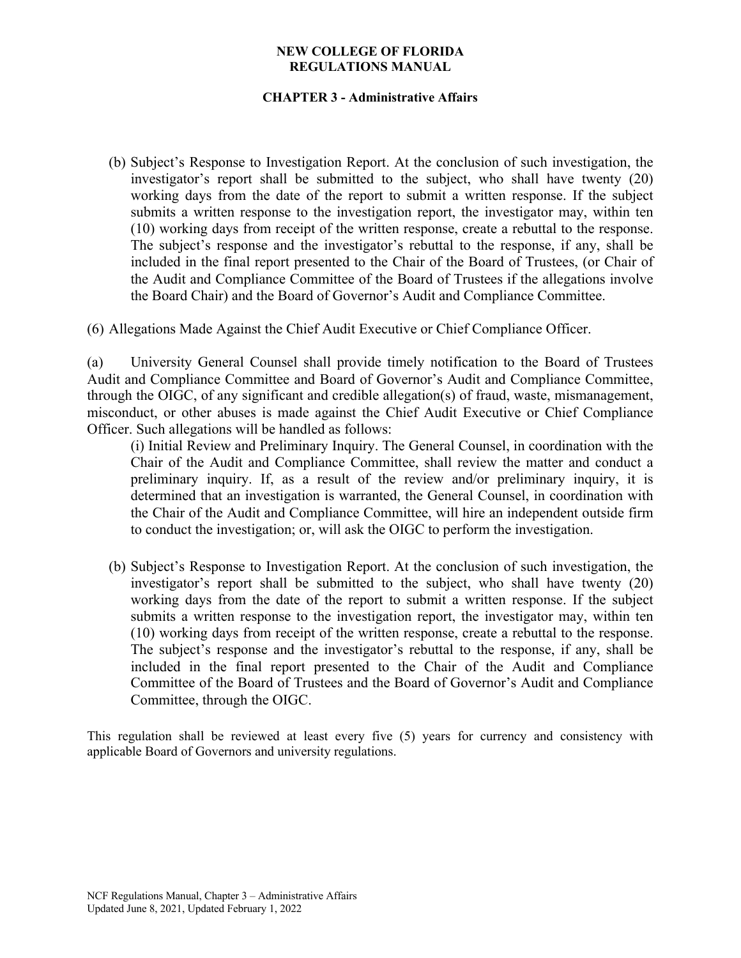# **CHAPTER 3 - Administrative Affairs**

(b) Subject's Response to Investigation Report. At the conclusion of such investigation, the investigator's report shall be submitted to the subject, who shall have twenty (20) working days from the date of the report to submit a written response. If the subject submits a written response to the investigation report, the investigator may, within ten (10) working days from receipt of the written response, create a rebuttal to the response. The subject's response and the investigator's rebuttal to the response, if any, shall be included in the final report presented to the Chair of the Board of Trustees, (or Chair of the Audit and Compliance Committee of the Board of Trustees if the allegations involve the Board Chair) and the Board of Governor's Audit and Compliance Committee.

(6) Allegations Made Against the Chief Audit Executive or Chief Compliance Officer.

(a) University General Counsel shall provide timely notification to the Board of Trustees Audit and Compliance Committee and Board of Governor's Audit and Compliance Committee, through the OIGC, of any significant and credible allegation(s) of fraud, waste, mismanagement, misconduct, or other abuses is made against the Chief Audit Executive or Chief Compliance Officer. Such allegations will be handled as follows:

(i) Initial Review and Preliminary Inquiry. The General Counsel, in coordination with the Chair of the Audit and Compliance Committee, shall review the matter and conduct a preliminary inquiry. If, as a result of the review and/or preliminary inquiry, it is determined that an investigation is warranted, the General Counsel, in coordination with the Chair of the Audit and Compliance Committee, will hire an independent outside firm to conduct the investigation; or, will ask the OIGC to perform the investigation.

(b) Subject's Response to Investigation Report. At the conclusion of such investigation, the investigator's report shall be submitted to the subject, who shall have twenty (20) working days from the date of the report to submit a written response. If the subject submits a written response to the investigation report, the investigator may, within ten (10) working days from receipt of the written response, create a rebuttal to the response. The subject's response and the investigator's rebuttal to the response, if any, shall be included in the final report presented to the Chair of the Audit and Compliance Committee of the Board of Trustees and the Board of Governor's Audit and Compliance Committee, through the OIGC.

This regulation shall be reviewed at least every five (5) years for currency and consistency with applicable Board of Governors and university regulations.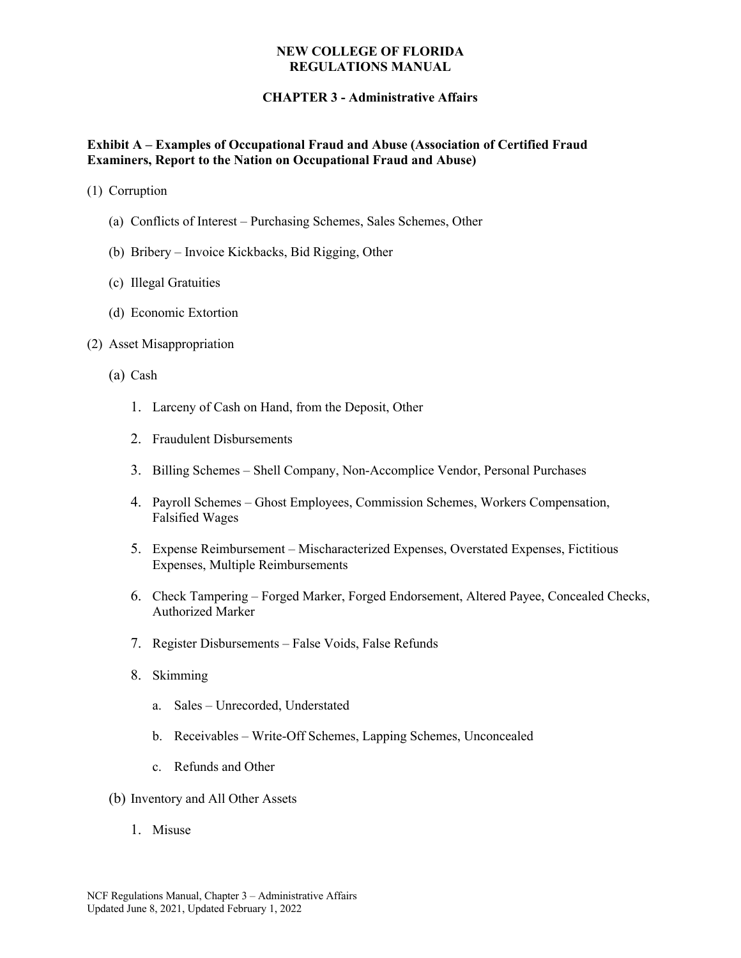# **CHAPTER 3 - Administrative Affairs**

### **Exhibit A – Examples of Occupational Fraud and Abuse (Association of Certified Fraud Examiners, Report to the Nation on Occupational Fraud and Abuse)**

- (1) Corruption
	- (a) Conflicts of Interest Purchasing Schemes, Sales Schemes, Other
	- (b) Bribery Invoice Kickbacks, Bid Rigging, Other
	- (c) Illegal Gratuities
	- (d) Economic Extortion

#### (2) Asset Misappropriation

- (a) Cash
	- 1. Larceny of Cash on Hand, from the Deposit, Other
	- 2. Fraudulent Disbursements
	- 3. Billing Schemes Shell Company, Non-Accomplice Vendor, Personal Purchases
	- 4. Payroll Schemes Ghost Employees, Commission Schemes, Workers Compensation, Falsified Wages
	- 5. Expense Reimbursement Mischaracterized Expenses, Overstated Expenses, Fictitious Expenses, Multiple Reimbursements
	- 6. Check Tampering Forged Marker, Forged Endorsement, Altered Payee, Concealed Checks, Authorized Marker
	- 7. Register Disbursements False Voids, False Refunds
	- 8. Skimming
		- a. Sales Unrecorded, Understated
		- b. Receivables Write-Off Schemes, Lapping Schemes, Unconcealed
		- c. Refunds and Other
- (b) Inventory and All Other Assets
	- 1. Misuse